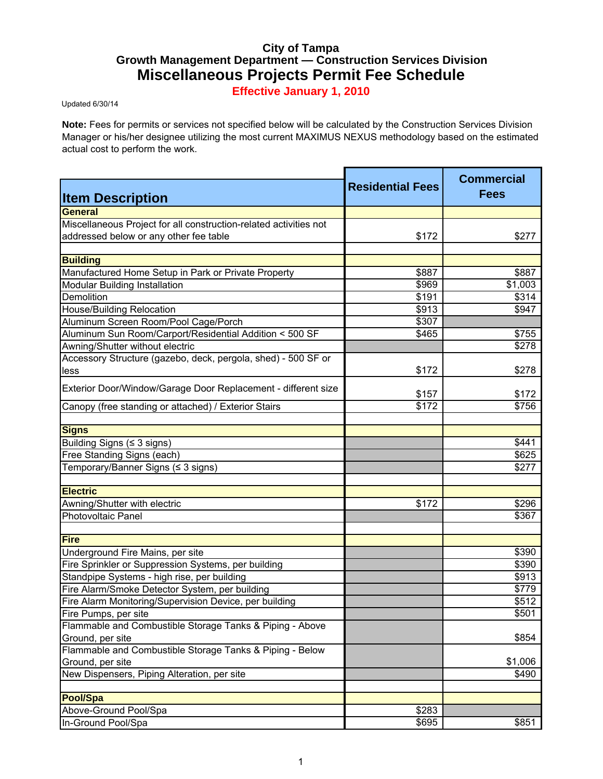## **City of Tampa Growth Management Department — Construction Services Division Miscellaneous Projects Permit Fee Schedule**

**Effective January 1, 2010**

Updated 6/30/14

**Note:** Fees for permits or services not specified below will be calculated by the Construction Services Division Manager or his/her designee utilizing the most current MAXIMUS NEXUS methodology based on the estimated actual cost to perform the work.

| <b>Item Description</b>                                           | <b>Residential Fees</b> | <b>Commercial</b><br><b>Fees</b> |
|-------------------------------------------------------------------|-------------------------|----------------------------------|
| <b>General</b>                                                    |                         |                                  |
| Miscellaneous Project for all construction-related activities not |                         |                                  |
| addressed below or any other fee table                            | \$172                   | \$277                            |
|                                                                   |                         |                                  |
| <b>Building</b>                                                   |                         |                                  |
| Manufactured Home Setup in Park or Private Property               | \$887                   | \$887                            |
| <b>Modular Building Installation</b>                              | \$969                   | \$1,003                          |
| Demolition                                                        | \$191                   | \$314                            |
| <b>House/Building Relocation</b>                                  | \$913                   | \$947                            |
| Aluminum Screen Room/Pool Cage/Porch                              | \$307                   |                                  |
| Aluminum Sun Room/Carport/Residential Addition < 500 SF           | \$465                   | \$755                            |
| Awning/Shutter without electric                                   |                         | \$278                            |
| Accessory Structure (gazebo, deck, pergola, shed) - 500 SF or     |                         |                                  |
| less                                                              | \$172                   | \$278                            |
| Exterior Door/Window/Garage Door Replacement - different size     |                         |                                  |
|                                                                   | \$157                   | \$172                            |
| Canopy (free standing or attached) / Exterior Stairs              | \$172                   | \$756                            |
| <b>Signs</b>                                                      |                         |                                  |
| Building Signs (≤ 3 signs)                                        |                         | \$441                            |
| Free Standing Signs (each)                                        |                         | \$625                            |
| Temporary/Banner Signs (≤ 3 signs)                                |                         | \$277                            |
| <b>Electric</b>                                                   |                         |                                  |
| Awning/Shutter with electric                                      | \$172                   | \$296                            |
| Photovoltaic Panel                                                |                         | \$367                            |
|                                                                   |                         |                                  |
| <b>Fire</b>                                                       |                         |                                  |
| Underground Fire Mains, per site                                  |                         | \$390                            |
| Fire Sprinkler or Suppression Systems, per building               |                         | \$390                            |
| Standpipe Systems - high rise, per building                       |                         | \$913                            |
| Fire Alarm/Smoke Detector System, per building                    |                         | \$779                            |
| Fire Alarm Monitoring/Supervision Device, per building            |                         | \$512                            |
| Fire Pumps, per site                                              |                         | \$501                            |
| Flammable and Combustible Storage Tanks & Piping - Above          |                         |                                  |
| Ground, per site                                                  |                         | \$854                            |
| Flammable and Combustible Storage Tanks & Piping - Below          |                         |                                  |
| Ground, per site                                                  |                         | \$1,006                          |
| New Dispensers, Piping Alteration, per site                       |                         | \$490                            |
|                                                                   |                         |                                  |
| <b>Pool/Spa</b>                                                   |                         |                                  |
| Above-Ground Pool/Spa                                             | \$283                   |                                  |
| In-Ground Pool/Spa                                                | \$695                   | \$851                            |